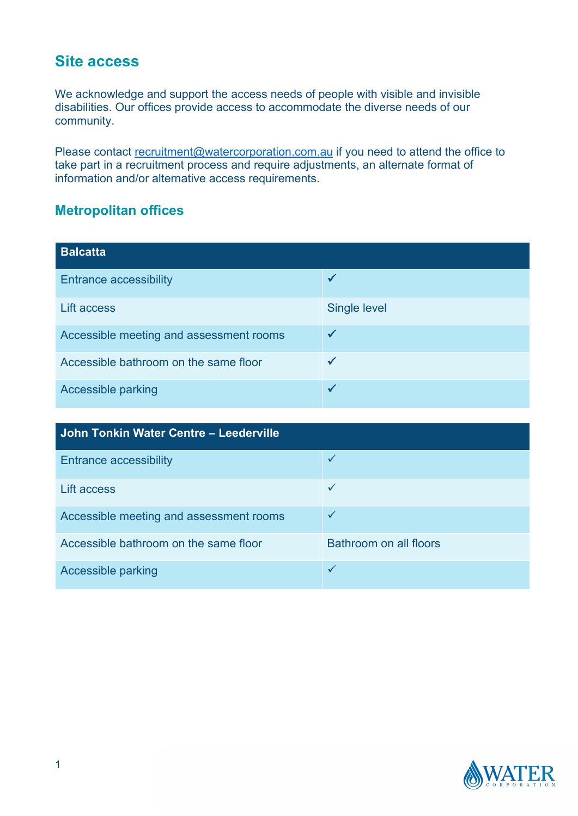## **Site access**

We acknowledge and support the access needs of people with visible and invisible disabilities. Our offices provide access to accommodate the diverse needs of our community.

Please contact [recruitment@watercorporation.com.au](mailto:recruitment@watercorporation.com.au) if you need to attend the office to take part in a recruitment process and require adjustments, an alternate format of information and/or alternative access requirements.

## **Metropolitan offices**

| <b>Balcatta</b>                         |                     |
|-----------------------------------------|---------------------|
| <b>Entrance accessibility</b>           |                     |
| Lift access                             | <b>Single level</b> |
| Accessible meeting and assessment rooms |                     |
| Accessible bathroom on the same floor   |                     |
| Accessible parking                      |                     |

| John Tonkin Water Centre - Leederville  |                        |
|-----------------------------------------|------------------------|
| <b>Entrance accessibility</b>           |                        |
| Lift access                             |                        |
| Accessible meeting and assessment rooms | $\checkmark$           |
| Accessible bathroom on the same floor   | Bathroom on all floors |
| Accessible parking                      |                        |

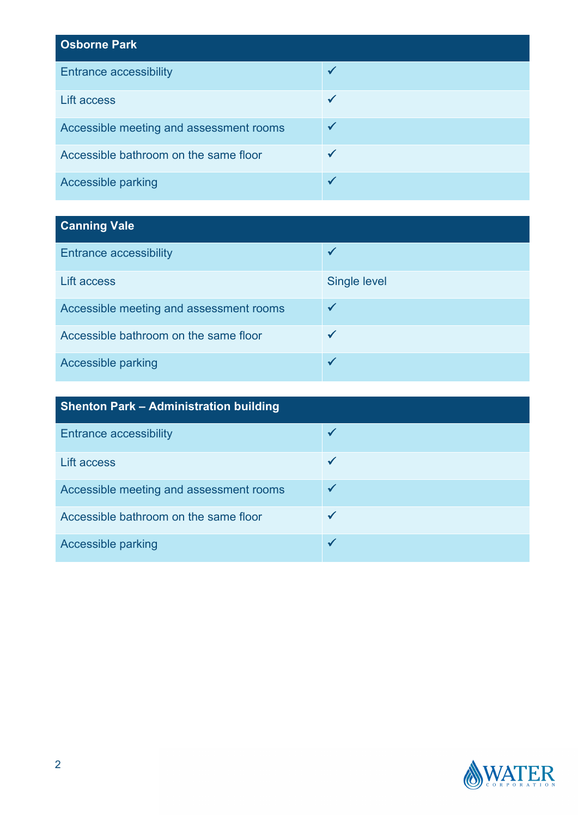| <b>Osborne Park</b>                     |  |
|-----------------------------------------|--|
| <b>Entrance accessibility</b>           |  |
| <b>Lift access</b>                      |  |
| Accessible meeting and assessment rooms |  |
| Accessible bathroom on the same floor   |  |
| <b>Accessible parking</b>               |  |

## **Canning Vale**

| <b>Entrance accessibility</b>           |                     |
|-----------------------------------------|---------------------|
| Lift access                             | <b>Single level</b> |
| Accessible meeting and assessment rooms |                     |
| Accessible bathroom on the same floor   |                     |
| Accessible parking                      |                     |

| <b>Shenton Park - Administration building</b> |  |
|-----------------------------------------------|--|
| <b>Entrance accessibility</b>                 |  |
| Lift access                                   |  |
| Accessible meeting and assessment rooms       |  |
| Accessible bathroom on the same floor         |  |
| Accessible parking                            |  |

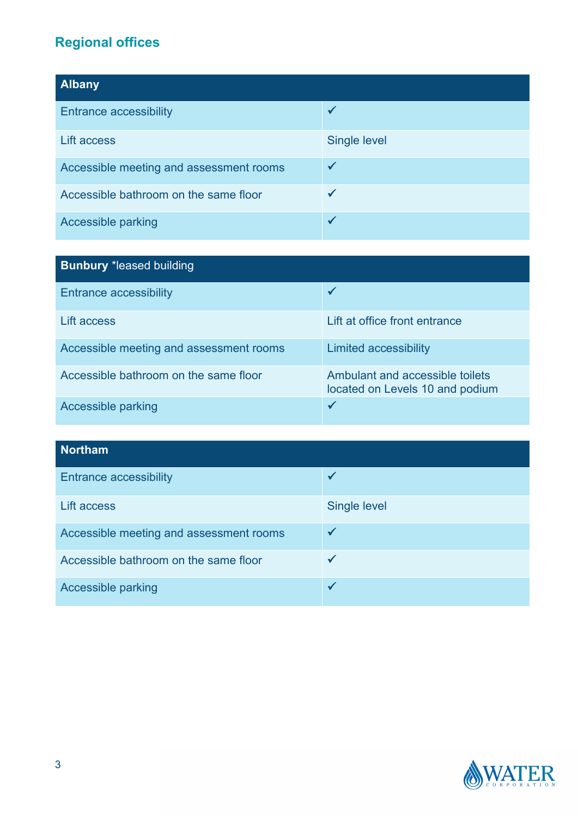## **Regional offices**

| <b>Albany</b>                           |                     |
|-----------------------------------------|---------------------|
| <b>Entrance accessibility</b>           |                     |
| <b>Lift access</b>                      | <b>Single level</b> |
| Accessible meeting and assessment rooms |                     |
| Accessible bathroom on the same floor   |                     |
| Accessible parking                      |                     |

| <b>Bunbury *leased building</b>         |                                                                    |
|-----------------------------------------|--------------------------------------------------------------------|
| <b>Entrance accessibility</b>           |                                                                    |
| Lift access                             | Lift at office front entrance                                      |
| Accessible meeting and assessment rooms | Limited accessibility                                              |
| Accessible bathroom on the same floor   | Ambulant and accessible toilets<br>located on Levels 10 and podium |
| Accessible parking                      |                                                                    |

| <b>Northam</b>                          |                     |
|-----------------------------------------|---------------------|
| <b>Entrance accessibility</b>           |                     |
| <b>Lift access</b>                      | <b>Single level</b> |
| Accessible meeting and assessment rooms |                     |
| Accessible bathroom on the same floor   |                     |
| Accessible parking                      |                     |